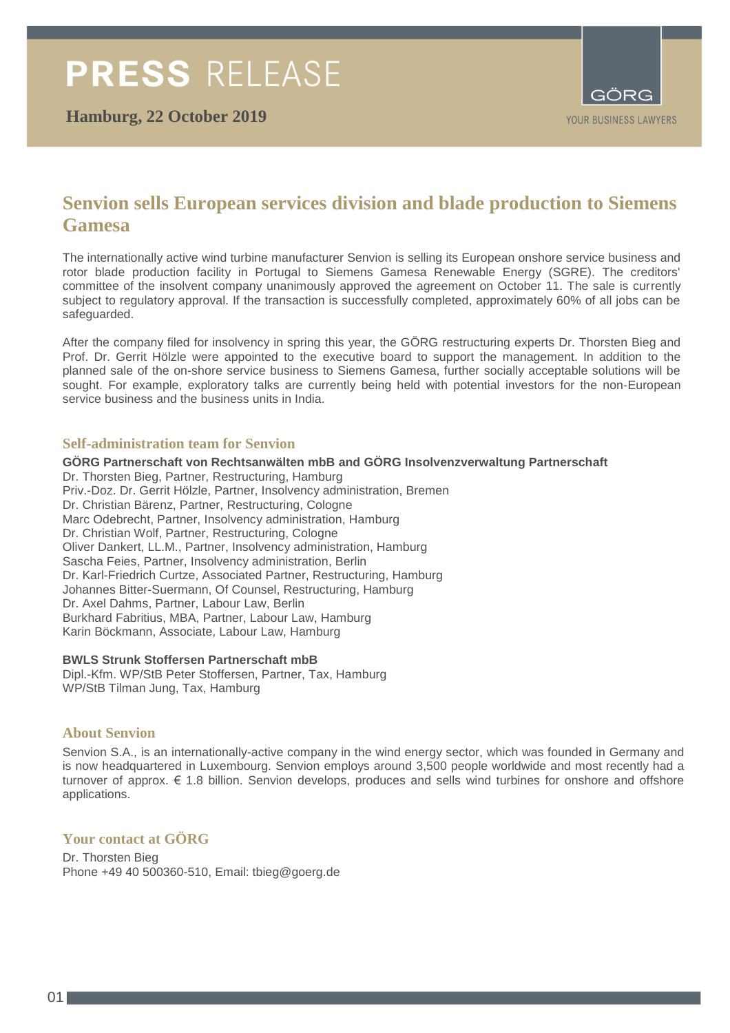

# **Senvion sells European services division and blade production to Siemens Gamesa**

The internationally active wind turbine manufacturer Senvion is selling its European onshore service business and rotor blade production facility in Portugal to Siemens Gamesa Renewable Energy (SGRE). The creditors' committee of the insolvent company unanimously approved the agreement on October 11. The sale is currently subject to regulatory approval. If the transaction is successfully completed, approximately 60% of all jobs can be safeguarded.

After the company filed for insolvency in spring this year, the GÖRG restructuring experts Dr. Thorsten Bieg and Prof. Dr. Gerrit Hölzle were appointed to the executive board to support the management. In addition to the planned sale of the on-shore service business to Siemens Gamesa, further socially acceptable solutions will be sought. For example, exploratory talks are currently being held with potential investors for the non-European service business and the business units in India.

## **Self-administration team for Senvion**

**GÖRG Partnerschaft von Rechtsanwälten mbB and GÖRG Insolvenzverwaltung Partnerschaft** Dr. Thorsten Bieg, Partner, Restructuring, Hamburg Priv.-Doz. Dr. Gerrit Hölzle, Partner, Insolvency administration, Bremen Dr. Christian Bärenz, Partner, Restructuring, Cologne Marc Odebrecht, Partner, Insolvency administration, Hamburg Dr. Christian Wolf, Partner, Restructuring, Cologne Oliver Dankert, LL.M., Partner, Insolvency administration, Hamburg Sascha Feies, Partner, Insolvency administration, Berlin Dr. Karl-Friedrich Curtze, Associated Partner, Restructuring, Hamburg Johannes Bitter-Suermann, Of Counsel, Restructuring, Hamburg Dr. Axel Dahms, Partner, Labour Law, Berlin Burkhard Fabritius, MBA, Partner, Labour Law, Hamburg Karin Böckmann, Associate, Labour Law, Hamburg

#### **BWLS Strunk Stoffersen Partnerschaft mbB**

Dipl.-Kfm. WP/StB Peter Stoffersen, Partner, Tax, Hamburg WP/StB Tilman Jung, Tax, Hamburg

#### **About Senvion**

Senvion S.A., is an internationally-active company in the wind energy sector, which was founded in Germany and is now headquartered in Luxembourg. Senvion employs around 3,500 people worldwide and most recently had a turnover of approx. € 1.8 billion. Senvion develops, produces and sells wind turbines for onshore and offshore applications.

# **Your contact at GÖRG**

Dr. Thorsten Bieg Phone +49 40 500360-510, Email: tbieg@goerg.de